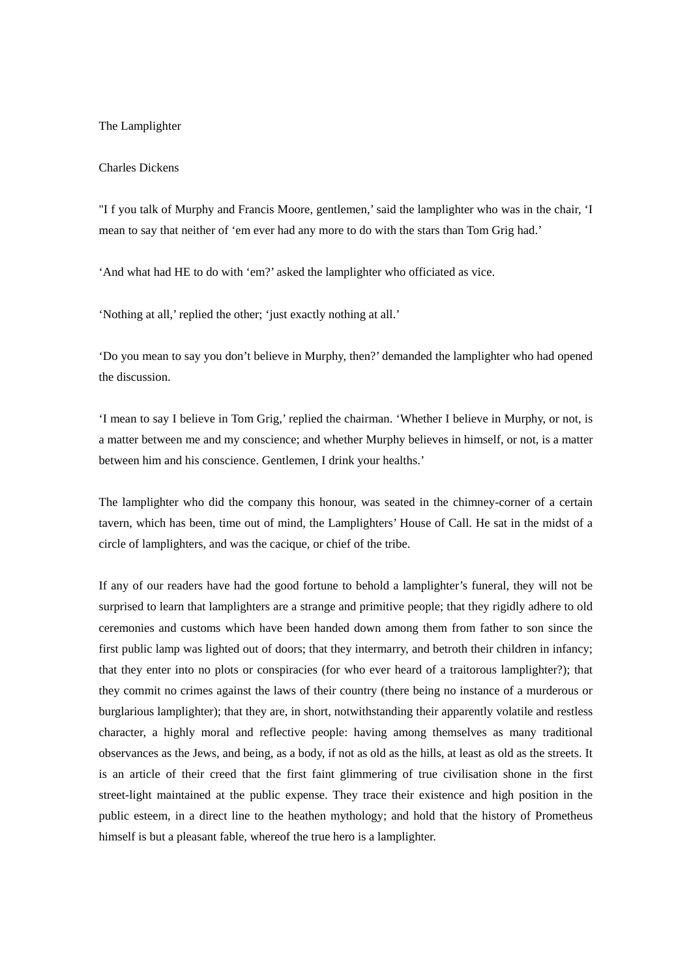## The Lamplighter

## Charles Dickens

"I f you talk of Murphy and Francis Moore, gentlemen,' said the lamplighter who was in the chair, 'I mean to say that neither of 'em ever had any more to do with the stars than Tom Grig had.'

'And what had HE to do with 'em?' asked the lamplighter who officiated as vice.

'Nothing at all,' replied the other; 'just exactly nothing at all.'

'Do you mean to say you don't believe in Murphy, then?' demanded the lamplighter who had opened the discussion.

'I mean to say I believe in Tom Grig,' replied the chairman. 'Whether I believe in Murphy, or not, is a matter between me and my conscience; and whether Murphy believes in himself, or not, is a matter between him and his conscience. Gentlemen, I drink your healths.'

The lamplighter who did the company this honour, was seated in the chimney-corner of a certain tavern, which has been, time out of mind, the Lamplighters' House of Call. He sat in the midst of a circle of lamplighters, and was the cacique, or chief of the tribe.

If any of our readers have had the good fortune to behold a lamplighter's funeral, they will not be surprised to learn that lamplighters are a strange and primitive people; that they rigidly adhere to old ceremonies and customs which have been handed down among them from father to son since the first public lamp was lighted out of doors; that they intermarry, and betroth their children in infancy; that they enter into no plots or conspiracies (for who ever heard of a traitorous lamplighter?); that they commit no crimes against the laws of their country (there being no instance of a murderous or burglarious lamplighter); that they are, in short, notwithstanding their apparently volatile and restless character, a highly moral and reflective people: having among themselves as many traditional observances as the Jews, and being, as a body, if not as old as the hills, at least as old as the streets. It is an article of their creed that the first faint glimmering of true civilisation shone in the first street-light maintained at the public expense. They trace their existence and high position in the public esteem, in a direct line to the heathen mythology; and hold that the history of Prometheus himself is but a pleasant fable, whereof the true hero is a lamplighter.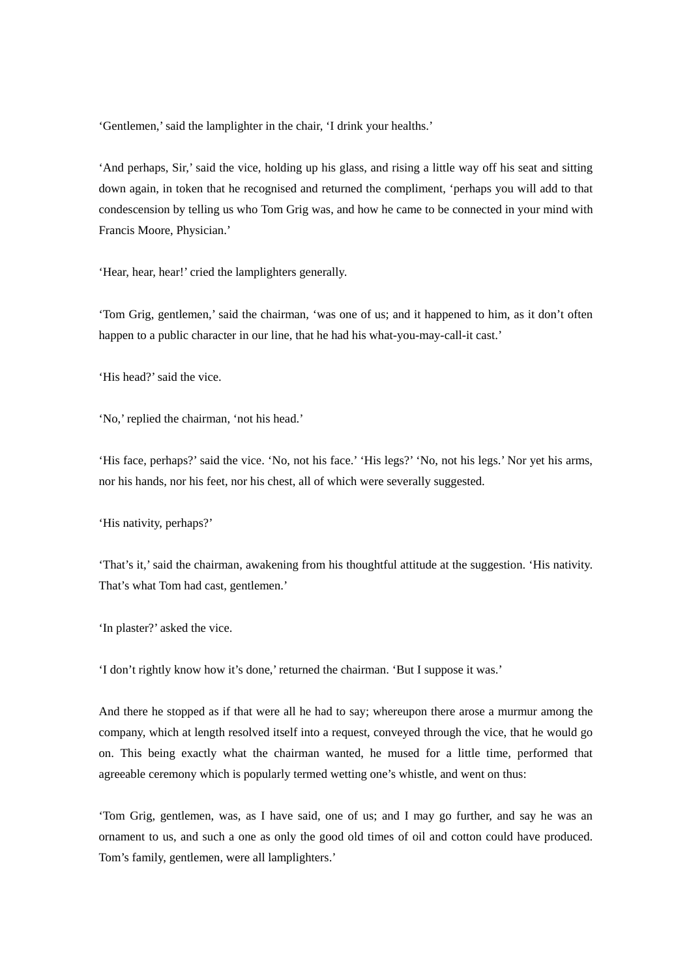'Gentlemen,' said the lamplighter in the chair, 'I drink your healths.'

'And perhaps, Sir,' said the vice, holding up his glass, and rising a little way off his seat and sitting down again, in token that he recognised and returned the compliment, 'perhaps you will add to that condescension by telling us who Tom Grig was, and how he came to be connected in your mind with Francis Moore, Physician.'

'Hear, hear, hear!' cried the lamplighters generally.

'Tom Grig, gentlemen,' said the chairman, 'was one of us; and it happened to him, as it don't often happen to a public character in our line, that he had his what-you-may-call-it cast.'

'His head?' said the vice.

'No,' replied the chairman, 'not his head.'

'His face, perhaps?' said the vice. 'No, not his face.' 'His legs?' 'No, not his legs.' Nor yet his arms, nor his hands, nor his feet, nor his chest, all of which were severally suggested.

'His nativity, perhaps?'

'That's it,' said the chairman, awakening from his thoughtful attitude at the suggestion. 'His nativity. That's what Tom had cast, gentlemen.'

'In plaster?' asked the vice.

'I don't rightly know how it's done,' returned the chairman. 'But I suppose it was.'

And there he stopped as if that were all he had to say; whereupon there arose a murmur among the company, which at length resolved itself into a request, conveyed through the vice, that he would go on. This being exactly what the chairman wanted, he mused for a little time, performed that agreeable ceremony which is popularly termed wetting one's whistle, and went on thus:

'Tom Grig, gentlemen, was, as I have said, one of us; and I may go further, and say he was an ornament to us, and such a one as only the good old times of oil and cotton could have produced. Tom's family, gentlemen, were all lamplighters.'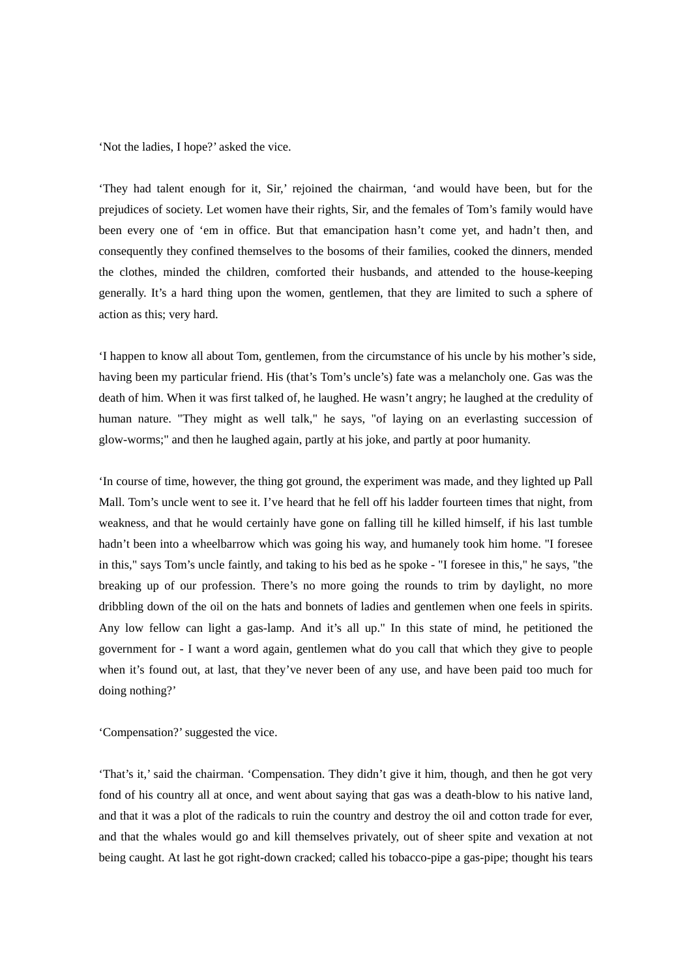'Not the ladies, I hope?' asked the vice.

'They had talent enough for it, Sir,' rejoined the chairman, 'and would have been, but for the prejudices of society. Let women have their rights, Sir, and the females of Tom's family would have been every one of 'em in office. But that emancipation hasn't come yet, and hadn't then, and consequently they confined themselves to the bosoms of their families, cooked the dinners, mended the clothes, minded the children, comforted their husbands, and attended to the house-keeping generally. It's a hard thing upon the women, gentlemen, that they are limited to such a sphere of action as this; very hard.

'I happen to know all about Tom, gentlemen, from the circumstance of his uncle by his mother's side, having been my particular friend. His (that's Tom's uncle's) fate was a melancholy one. Gas was the death of him. When it was first talked of, he laughed. He wasn't angry; he laughed at the credulity of human nature. "They might as well talk," he says, "of laying on an everlasting succession of glow-worms;" and then he laughed again, partly at his joke, and partly at poor humanity.

'In course of time, however, the thing got ground, the experiment was made, and they lighted up Pall Mall. Tom's uncle went to see it. I've heard that he fell off his ladder fourteen times that night, from weakness, and that he would certainly have gone on falling till he killed himself, if his last tumble hadn't been into a wheelbarrow which was going his way, and humanely took him home. "I foresee in this," says Tom's uncle faintly, and taking to his bed as he spoke - "I foresee in this," he says, "the breaking up of our profession. There's no more going the rounds to trim by daylight, no more dribbling down of the oil on the hats and bonnets of ladies and gentlemen when one feels in spirits. Any low fellow can light a gas-lamp. And it's all up." In this state of mind, he petitioned the government for - I want a word again, gentlemen what do you call that which they give to people when it's found out, at last, that they've never been of any use, and have been paid too much for doing nothing?'

'Compensation?' suggested the vice.

'That's it,' said the chairman. 'Compensation. They didn't give it him, though, and then he got very fond of his country all at once, and went about saying that gas was a death-blow to his native land, and that it was a plot of the radicals to ruin the country and destroy the oil and cotton trade for ever, and that the whales would go and kill themselves privately, out of sheer spite and vexation at not being caught. At last he got right-down cracked; called his tobacco-pipe a gas-pipe; thought his tears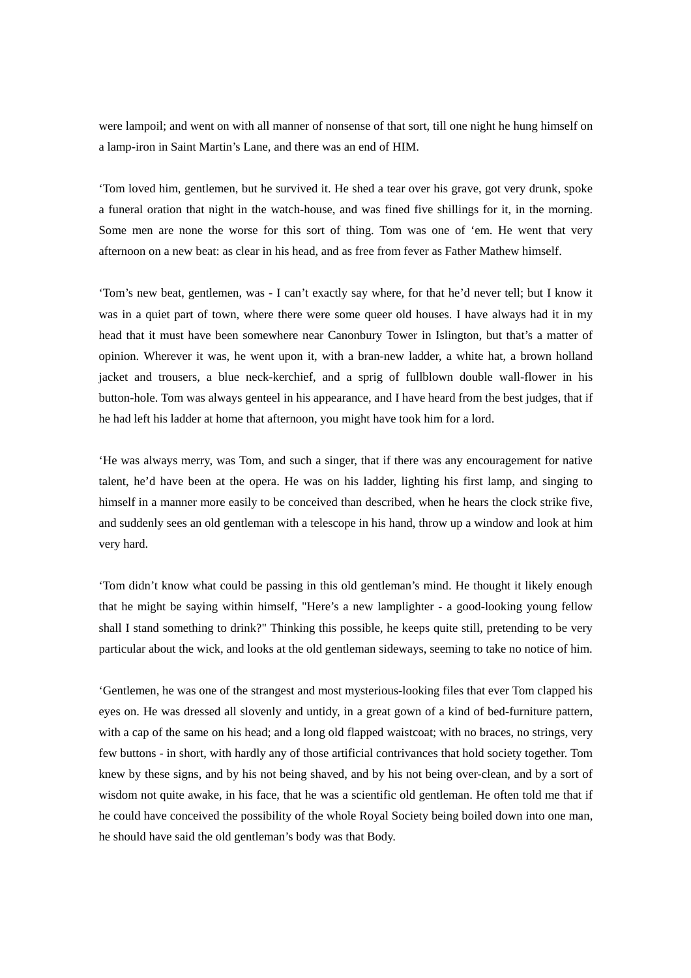were lampoil; and went on with all manner of nonsense of that sort, till one night he hung himself on a lamp-iron in Saint Martin's Lane, and there was an end of HIM.

'Tom loved him, gentlemen, but he survived it. He shed a tear over his grave, got very drunk, spoke a funeral oration that night in the watch-house, and was fined five shillings for it, in the morning. Some men are none the worse for this sort of thing. Tom was one of 'em. He went that very afternoon on a new beat: as clear in his head, and as free from fever as Father Mathew himself.

'Tom's new beat, gentlemen, was - I can't exactly say where, for that he'd never tell; but I know it was in a quiet part of town, where there were some queer old houses. I have always had it in my head that it must have been somewhere near Canonbury Tower in Islington, but that's a matter of opinion. Wherever it was, he went upon it, with a bran-new ladder, a white hat, a brown holland jacket and trousers, a blue neck-kerchief, and a sprig of fullblown double wall-flower in his button-hole. Tom was always genteel in his appearance, and I have heard from the best judges, that if he had left his ladder at home that afternoon, you might have took him for a lord.

'He was always merry, was Tom, and such a singer, that if there was any encouragement for native talent, he'd have been at the opera. He was on his ladder, lighting his first lamp, and singing to himself in a manner more easily to be conceived than described, when he hears the clock strike five, and suddenly sees an old gentleman with a telescope in his hand, throw up a window and look at him very hard.

'Tom didn't know what could be passing in this old gentleman's mind. He thought it likely enough that he might be saying within himself, "Here's a new lamplighter - a good-looking young fellow shall I stand something to drink?" Thinking this possible, he keeps quite still, pretending to be very particular about the wick, and looks at the old gentleman sideways, seeming to take no notice of him.

'Gentlemen, he was one of the strangest and most mysterious-looking files that ever Tom clapped his eyes on. He was dressed all slovenly and untidy, in a great gown of a kind of bed-furniture pattern, with a cap of the same on his head; and a long old flapped waistcoat; with no braces, no strings, very few buttons - in short, with hardly any of those artificial contrivances that hold society together. Tom knew by these signs, and by his not being shaved, and by his not being over-clean, and by a sort of wisdom not quite awake, in his face, that he was a scientific old gentleman. He often told me that if he could have conceived the possibility of the whole Royal Society being boiled down into one man, he should have said the old gentleman's body was that Body.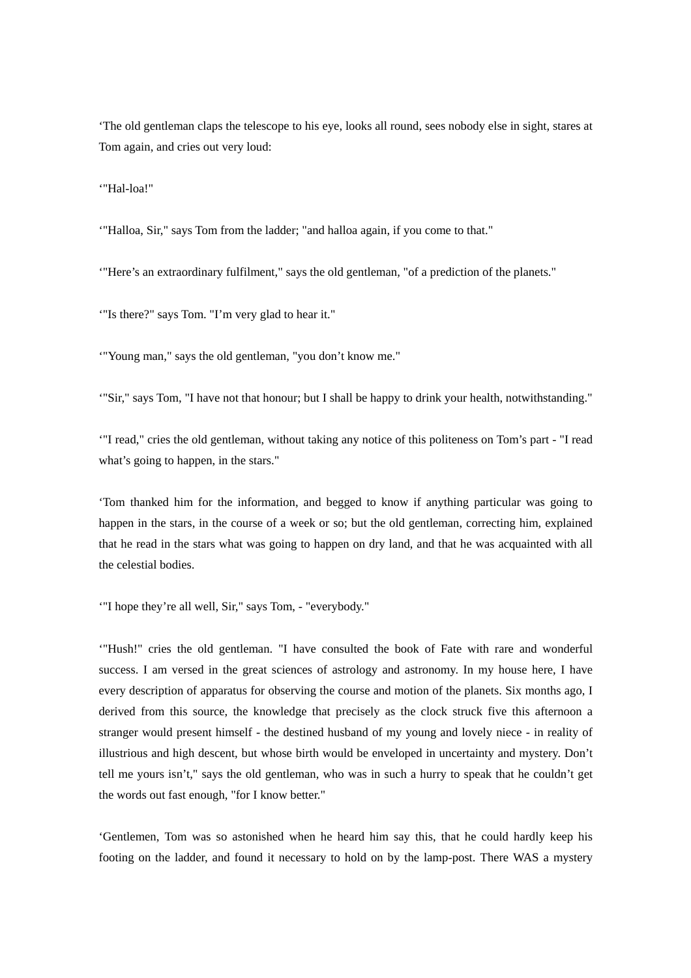'The old gentleman claps the telescope to his eye, looks all round, sees nobody else in sight, stares at Tom again, and cries out very loud:

'"Hal-loa!"

'"Halloa, Sir," says Tom from the ladder; "and halloa again, if you come to that."

'"Here's an extraordinary fulfilment," says the old gentleman, "of a prediction of the planets."

'"Is there?" says Tom. "I'm very glad to hear it."

'"Young man," says the old gentleman, "you don't know me."

'"Sir," says Tom, "I have not that honour; but I shall be happy to drink your health, notwithstanding."

'"I read," cries the old gentleman, without taking any notice of this politeness on Tom's part - "I read what's going to happen, in the stars."

'Tom thanked him for the information, and begged to know if anything particular was going to happen in the stars, in the course of a week or so; but the old gentleman, correcting him, explained that he read in the stars what was going to happen on dry land, and that he was acquainted with all the celestial bodies.

'"I hope they're all well, Sir," says Tom, - "everybody."

'"Hush!" cries the old gentleman. "I have consulted the book of Fate with rare and wonderful success. I am versed in the great sciences of astrology and astronomy. In my house here, I have every description of apparatus for observing the course and motion of the planets. Six months ago, I derived from this source, the knowledge that precisely as the clock struck five this afternoon a stranger would present himself - the destined husband of my young and lovely niece - in reality of illustrious and high descent, but whose birth would be enveloped in uncertainty and mystery. Don't tell me yours isn't," says the old gentleman, who was in such a hurry to speak that he couldn't get the words out fast enough, "for I know better."

'Gentlemen, Tom was so astonished when he heard him say this, that he could hardly keep his footing on the ladder, and found it necessary to hold on by the lamp-post. There WAS a mystery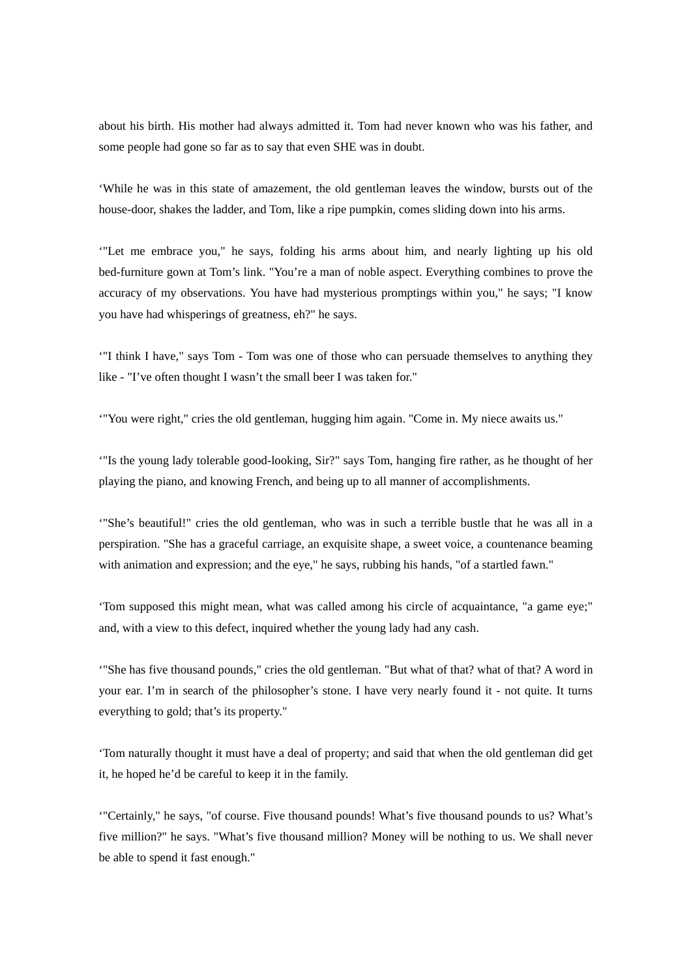about his birth. His mother had always admitted it. Tom had never known who was his father, and some people had gone so far as to say that even SHE was in doubt.

'While he was in this state of amazement, the old gentleman leaves the window, bursts out of the house-door, shakes the ladder, and Tom, like a ripe pumpkin, comes sliding down into his arms.

'"Let me embrace you," he says, folding his arms about him, and nearly lighting up his old bed-furniture gown at Tom's link. "You're a man of noble aspect. Everything combines to prove the accuracy of my observations. You have had mysterious promptings within you," he says; "I know you have had whisperings of greatness, eh?" he says.

'"I think I have," says Tom - Tom was one of those who can persuade themselves to anything they like - "I've often thought I wasn't the small beer I was taken for."

'"You were right," cries the old gentleman, hugging him again. "Come in. My niece awaits us."

'"Is the young lady tolerable good-looking, Sir?" says Tom, hanging fire rather, as he thought of her playing the piano, and knowing French, and being up to all manner of accomplishments.

'"She's beautiful!" cries the old gentleman, who was in such a terrible bustle that he was all in a perspiration. "She has a graceful carriage, an exquisite shape, a sweet voice, a countenance beaming with animation and expression; and the eye," he says, rubbing his hands, "of a startled fawn."

'Tom supposed this might mean, what was called among his circle of acquaintance, "a game eye;" and, with a view to this defect, inquired whether the young lady had any cash.

'"She has five thousand pounds," cries the old gentleman. "But what of that? what of that? A word in your ear. I'm in search of the philosopher's stone. I have very nearly found it - not quite. It turns everything to gold; that's its property."

'Tom naturally thought it must have a deal of property; and said that when the old gentleman did get it, he hoped he'd be careful to keep it in the family.

'"Certainly," he says, "of course. Five thousand pounds! What's five thousand pounds to us? What's five million?" he says. "What's five thousand million? Money will be nothing to us. We shall never be able to spend it fast enough."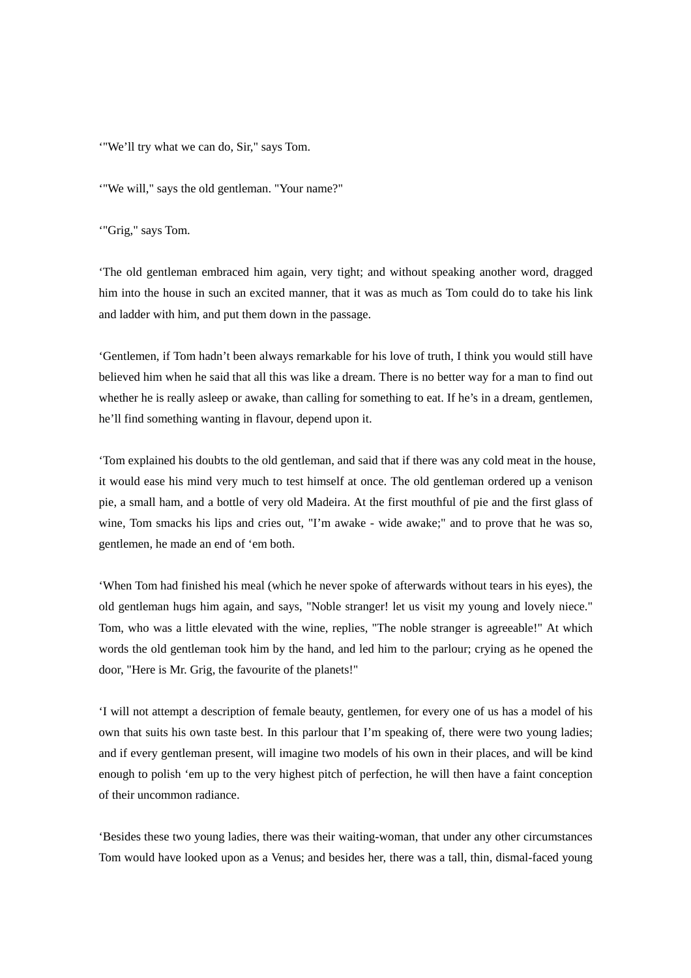'"We'll try what we can do, Sir," says Tom.

'"We will," says the old gentleman. "Your name?"

'"Grig," says Tom.

'The old gentleman embraced him again, very tight; and without speaking another word, dragged him into the house in such an excited manner, that it was as much as Tom could do to take his link and ladder with him, and put them down in the passage.

'Gentlemen, if Tom hadn't been always remarkable for his love of truth, I think you would still have believed him when he said that all this was like a dream. There is no better way for a man to find out whether he is really asleep or awake, than calling for something to eat. If he's in a dream, gentlemen, he'll find something wanting in flavour, depend upon it.

'Tom explained his doubts to the old gentleman, and said that if there was any cold meat in the house, it would ease his mind very much to test himself at once. The old gentleman ordered up a venison pie, a small ham, and a bottle of very old Madeira. At the first mouthful of pie and the first glass of wine, Tom smacks his lips and cries out, "I'm awake - wide awake;" and to prove that he was so, gentlemen, he made an end of 'em both.

'When Tom had finished his meal (which he never spoke of afterwards without tears in his eyes), the old gentleman hugs him again, and says, "Noble stranger! let us visit my young and lovely niece." Tom, who was a little elevated with the wine, replies, "The noble stranger is agreeable!" At which words the old gentleman took him by the hand, and led him to the parlour; crying as he opened the door, "Here is Mr. Grig, the favourite of the planets!"

'I will not attempt a description of female beauty, gentlemen, for every one of us has a model of his own that suits his own taste best. In this parlour that I'm speaking of, there were two young ladies; and if every gentleman present, will imagine two models of his own in their places, and will be kind enough to polish 'em up to the very highest pitch of perfection, he will then have a faint conception of their uncommon radiance.

'Besides these two young ladies, there was their waiting-woman, that under any other circumstances Tom would have looked upon as a Venus; and besides her, there was a tall, thin, dismal-faced young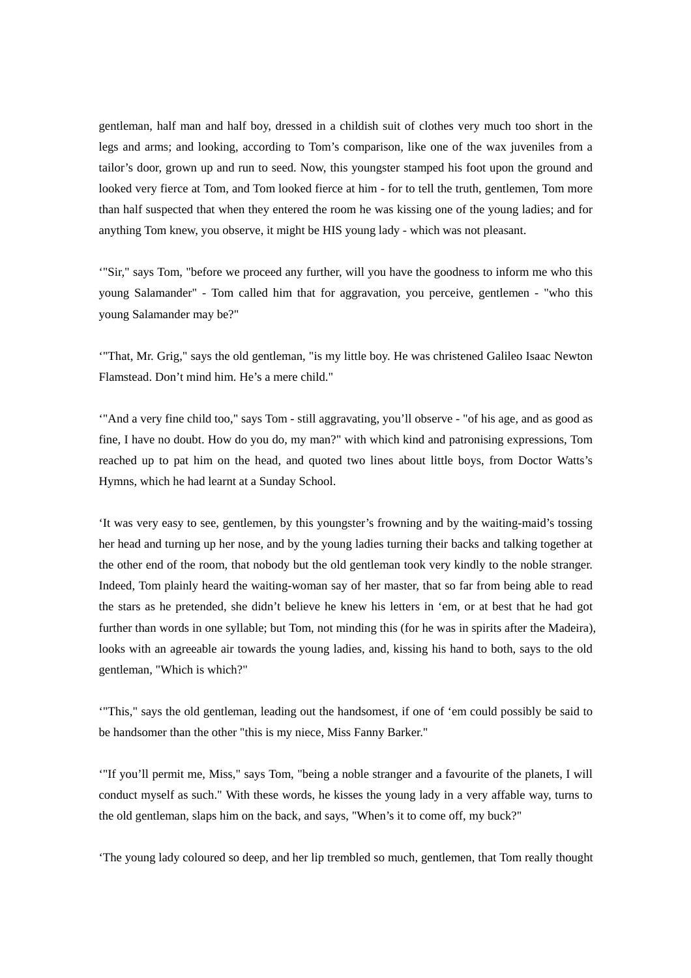gentleman, half man and half boy, dressed in a childish suit of clothes very much too short in the legs and arms; and looking, according to Tom's comparison, like one of the wax juveniles from a tailor's door, grown up and run to seed. Now, this youngster stamped his foot upon the ground and looked very fierce at Tom, and Tom looked fierce at him - for to tell the truth, gentlemen, Tom more than half suspected that when they entered the room he was kissing one of the young ladies; and for anything Tom knew, you observe, it might be HIS young lady - which was not pleasant.

'"Sir," says Tom, "before we proceed any further, will you have the goodness to inform me who this young Salamander" - Tom called him that for aggravation, you perceive, gentlemen - "who this young Salamander may be?"

'"That, Mr. Grig," says the old gentleman, "is my little boy. He was christened Galileo Isaac Newton Flamstead. Don't mind him. He's a mere child."

'"And a very fine child too," says Tom - still aggravating, you'll observe - "of his age, and as good as fine, I have no doubt. How do you do, my man?" with which kind and patronising expressions, Tom reached up to pat him on the head, and quoted two lines about little boys, from Doctor Watts's Hymns, which he had learnt at a Sunday School.

'It was very easy to see, gentlemen, by this youngster's frowning and by the waiting-maid's tossing her head and turning up her nose, and by the young ladies turning their backs and talking together at the other end of the room, that nobody but the old gentleman took very kindly to the noble stranger. Indeed, Tom plainly heard the waiting-woman say of her master, that so far from being able to read the stars as he pretended, she didn't believe he knew his letters in 'em, or at best that he had got further than words in one syllable; but Tom, not minding this (for he was in spirits after the Madeira), looks with an agreeable air towards the young ladies, and, kissing his hand to both, says to the old gentleman, "Which is which?"

'"This," says the old gentleman, leading out the handsomest, if one of 'em could possibly be said to be handsomer than the other "this is my niece, Miss Fanny Barker."

'"If you'll permit me, Miss," says Tom, "being a noble stranger and a favourite of the planets, I will conduct myself as such." With these words, he kisses the young lady in a very affable way, turns to the old gentleman, slaps him on the back, and says, "When's it to come off, my buck?"

'The young lady coloured so deep, and her lip trembled so much, gentlemen, that Tom really thought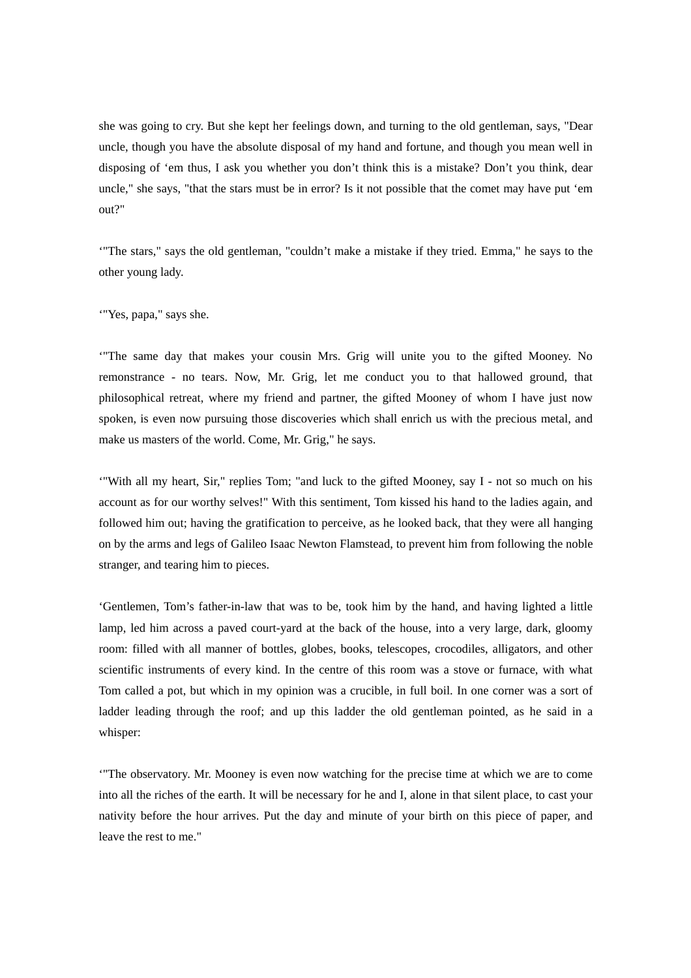she was going to cry. But she kept her feelings down, and turning to the old gentleman, says, "Dear uncle, though you have the absolute disposal of my hand and fortune, and though you mean well in disposing of 'em thus, I ask you whether you don't think this is a mistake? Don't you think, dear uncle," she says, "that the stars must be in error? Is it not possible that the comet may have put 'em out?"

'"The stars," says the old gentleman, "couldn't make a mistake if they tried. Emma," he says to the other young lady.

'"Yes, papa," says she.

'"The same day that makes your cousin Mrs. Grig will unite you to the gifted Mooney. No remonstrance - no tears. Now, Mr. Grig, let me conduct you to that hallowed ground, that philosophical retreat, where my friend and partner, the gifted Mooney of whom I have just now spoken, is even now pursuing those discoveries which shall enrich us with the precious metal, and make us masters of the world. Come, Mr. Grig," he says.

'"With all my heart, Sir," replies Tom; "and luck to the gifted Mooney, say I - not so much on his account as for our worthy selves!" With this sentiment, Tom kissed his hand to the ladies again, and followed him out; having the gratification to perceive, as he looked back, that they were all hanging on by the arms and legs of Galileo Isaac Newton Flamstead, to prevent him from following the noble stranger, and tearing him to pieces.

'Gentlemen, Tom's father-in-law that was to be, took him by the hand, and having lighted a little lamp, led him across a paved court-yard at the back of the house, into a very large, dark, gloomy room: filled with all manner of bottles, globes, books, telescopes, crocodiles, alligators, and other scientific instruments of every kind. In the centre of this room was a stove or furnace, with what Tom called a pot, but which in my opinion was a crucible, in full boil. In one corner was a sort of ladder leading through the roof; and up this ladder the old gentleman pointed, as he said in a whisper:

'"The observatory. Mr. Mooney is even now watching for the precise time at which we are to come into all the riches of the earth. It will be necessary for he and I, alone in that silent place, to cast your nativity before the hour arrives. Put the day and minute of your birth on this piece of paper, and leave the rest to me."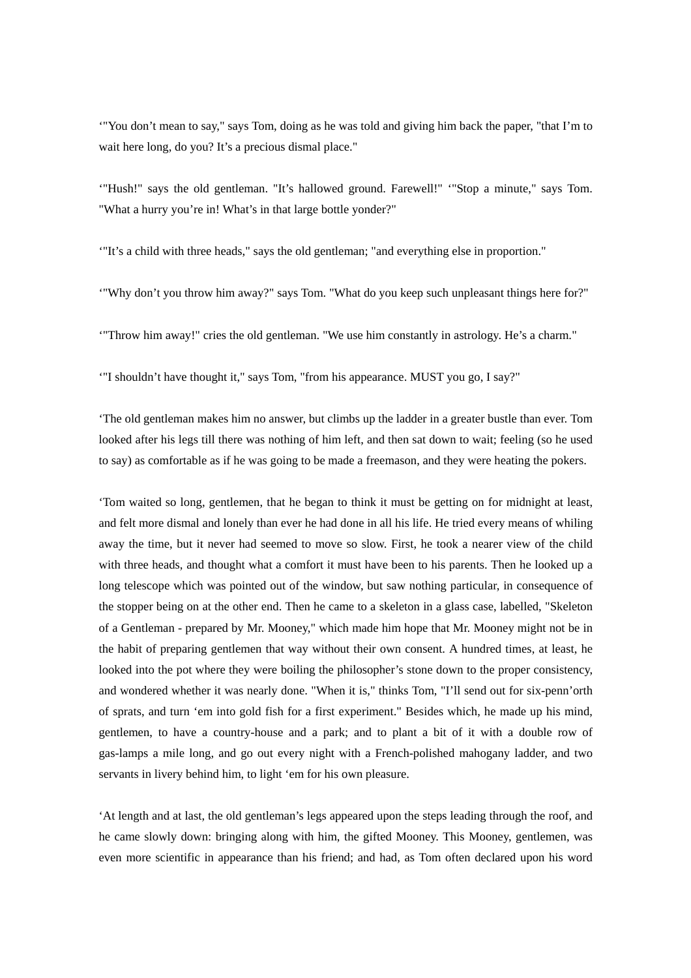'"You don't mean to say," says Tom, doing as he was told and giving him back the paper, "that I'm to wait here long, do you? It's a precious dismal place."

'"Hush!" says the old gentleman. "It's hallowed ground. Farewell!" '"Stop a minute," says Tom. "What a hurry you're in! What's in that large bottle yonder?"

'"It's a child with three heads," says the old gentleman; "and everything else in proportion."

'"Why don't you throw him away?" says Tom. "What do you keep such unpleasant things here for?"

'"Throw him away!" cries the old gentleman. "We use him constantly in astrology. He's a charm."

'"I shouldn't have thought it," says Tom, "from his appearance. MUST you go, I say?"

'The old gentleman makes him no answer, but climbs up the ladder in a greater bustle than ever. Tom looked after his legs till there was nothing of him left, and then sat down to wait; feeling (so he used to say) as comfortable as if he was going to be made a freemason, and they were heating the pokers.

'Tom waited so long, gentlemen, that he began to think it must be getting on for midnight at least, and felt more dismal and lonely than ever he had done in all his life. He tried every means of whiling away the time, but it never had seemed to move so slow. First, he took a nearer view of the child with three heads, and thought what a comfort it must have been to his parents. Then he looked up a long telescope which was pointed out of the window, but saw nothing particular, in consequence of the stopper being on at the other end. Then he came to a skeleton in a glass case, labelled, "Skeleton of a Gentleman - prepared by Mr. Mooney," which made him hope that Mr. Mooney might not be in the habit of preparing gentlemen that way without their own consent. A hundred times, at least, he looked into the pot where they were boiling the philosopher's stone down to the proper consistency, and wondered whether it was nearly done. "When it is," thinks Tom, "I'll send out for six-penn'orth of sprats, and turn 'em into gold fish for a first experiment." Besides which, he made up his mind, gentlemen, to have a country-house and a park; and to plant a bit of it with a double row of gas-lamps a mile long, and go out every night with a French-polished mahogany ladder, and two servants in livery behind him, to light 'em for his own pleasure.

'At length and at last, the old gentleman's legs appeared upon the steps leading through the roof, and he came slowly down: bringing along with him, the gifted Mooney. This Mooney, gentlemen, was even more scientific in appearance than his friend; and had, as Tom often declared upon his word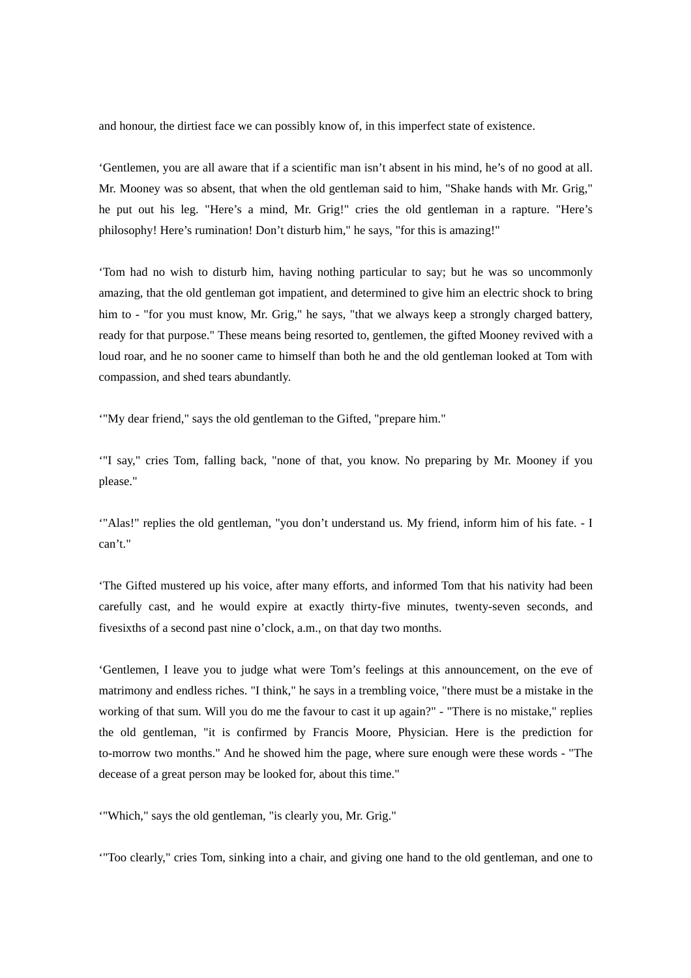and honour, the dirtiest face we can possibly know of, in this imperfect state of existence.

'Gentlemen, you are all aware that if a scientific man isn't absent in his mind, he's of no good at all. Mr. Mooney was so absent, that when the old gentleman said to him, "Shake hands with Mr. Grig," he put out his leg. "Here's a mind, Mr. Grig!" cries the old gentleman in a rapture. "Here's philosophy! Here's rumination! Don't disturb him," he says, "for this is amazing!"

'Tom had no wish to disturb him, having nothing particular to say; but he was so uncommonly amazing, that the old gentleman got impatient, and determined to give him an electric shock to bring him to - "for you must know, Mr. Grig," he says, "that we always keep a strongly charged battery, ready for that purpose." These means being resorted to, gentlemen, the gifted Mooney revived with a loud roar, and he no sooner came to himself than both he and the old gentleman looked at Tom with compassion, and shed tears abundantly.

'"My dear friend," says the old gentleman to the Gifted, "prepare him."

'"I say," cries Tom, falling back, "none of that, you know. No preparing by Mr. Mooney if you please."

'"Alas!" replies the old gentleman, "you don't understand us. My friend, inform him of his fate. - I can't."

'The Gifted mustered up his voice, after many efforts, and informed Tom that his nativity had been carefully cast, and he would expire at exactly thirty-five minutes, twenty-seven seconds, and fivesixths of a second past nine o'clock, a.m., on that day two months.

'Gentlemen, I leave you to judge what were Tom's feelings at this announcement, on the eve of matrimony and endless riches. "I think," he says in a trembling voice, "there must be a mistake in the working of that sum. Will you do me the favour to cast it up again?" - "There is no mistake," replies the old gentleman, "it is confirmed by Francis Moore, Physician. Here is the prediction for to-morrow two months." And he showed him the page, where sure enough were these words - "The decease of a great person may be looked for, about this time."

'"Which," says the old gentleman, "is clearly you, Mr. Grig."

'"Too clearly," cries Tom, sinking into a chair, and giving one hand to the old gentleman, and one to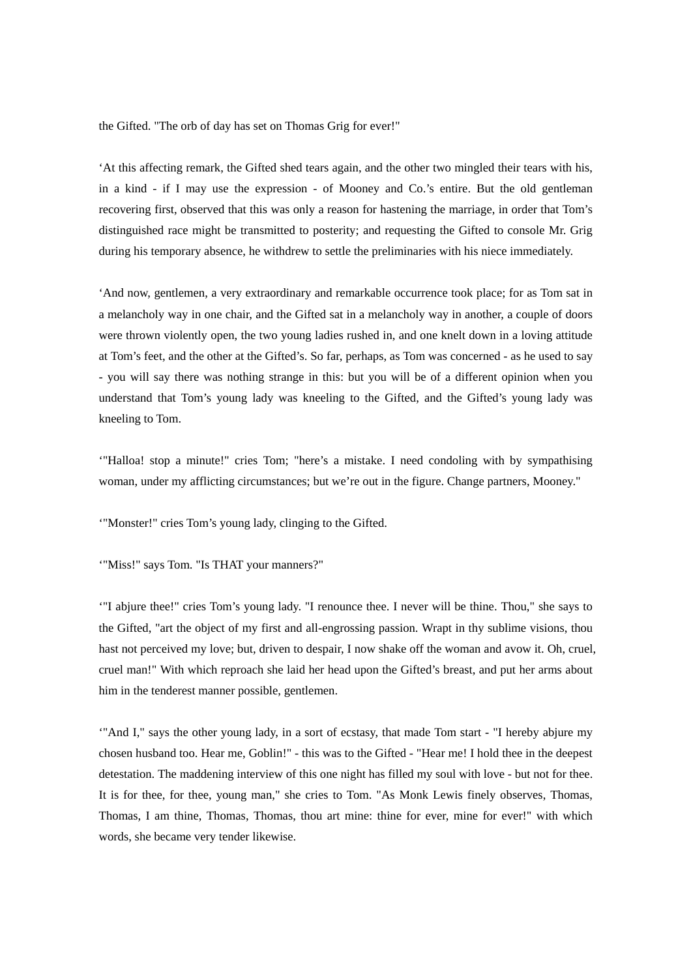the Gifted. "The orb of day has set on Thomas Grig for ever!"

'At this affecting remark, the Gifted shed tears again, and the other two mingled their tears with his, in a kind - if I may use the expression - of Mooney and Co.'s entire. But the old gentleman recovering first, observed that this was only a reason for hastening the marriage, in order that Tom's distinguished race might be transmitted to posterity; and requesting the Gifted to console Mr. Grig during his temporary absence, he withdrew to settle the preliminaries with his niece immediately.

'And now, gentlemen, a very extraordinary and remarkable occurrence took place; for as Tom sat in a melancholy way in one chair, and the Gifted sat in a melancholy way in another, a couple of doors were thrown violently open, the two young ladies rushed in, and one knelt down in a loving attitude at Tom's feet, and the other at the Gifted's. So far, perhaps, as Tom was concerned - as he used to say - you will say there was nothing strange in this: but you will be of a different opinion when you understand that Tom's young lady was kneeling to the Gifted, and the Gifted's young lady was kneeling to Tom.

'"Halloa! stop a minute!" cries Tom; "here's a mistake. I need condoling with by sympathising woman, under my afflicting circumstances; but we're out in the figure. Change partners, Mooney."

'"Monster!" cries Tom's young lady, clinging to the Gifted.

'"Miss!" says Tom. "Is THAT your manners?"

'"I abjure thee!" cries Tom's young lady. "I renounce thee. I never will be thine. Thou," she says to the Gifted, "art the object of my first and all-engrossing passion. Wrapt in thy sublime visions, thou hast not perceived my love; but, driven to despair, I now shake off the woman and avow it. Oh, cruel, cruel man!" With which reproach she laid her head upon the Gifted's breast, and put her arms about him in the tenderest manner possible, gentlemen.

'"And I," says the other young lady, in a sort of ecstasy, that made Tom start - "I hereby abjure my chosen husband too. Hear me, Goblin!" - this was to the Gifted - "Hear me! I hold thee in the deepest detestation. The maddening interview of this one night has filled my soul with love - but not for thee. It is for thee, for thee, young man," she cries to Tom. "As Monk Lewis finely observes, Thomas, Thomas, I am thine, Thomas, Thomas, thou art mine: thine for ever, mine for ever!" with which words, she became very tender likewise.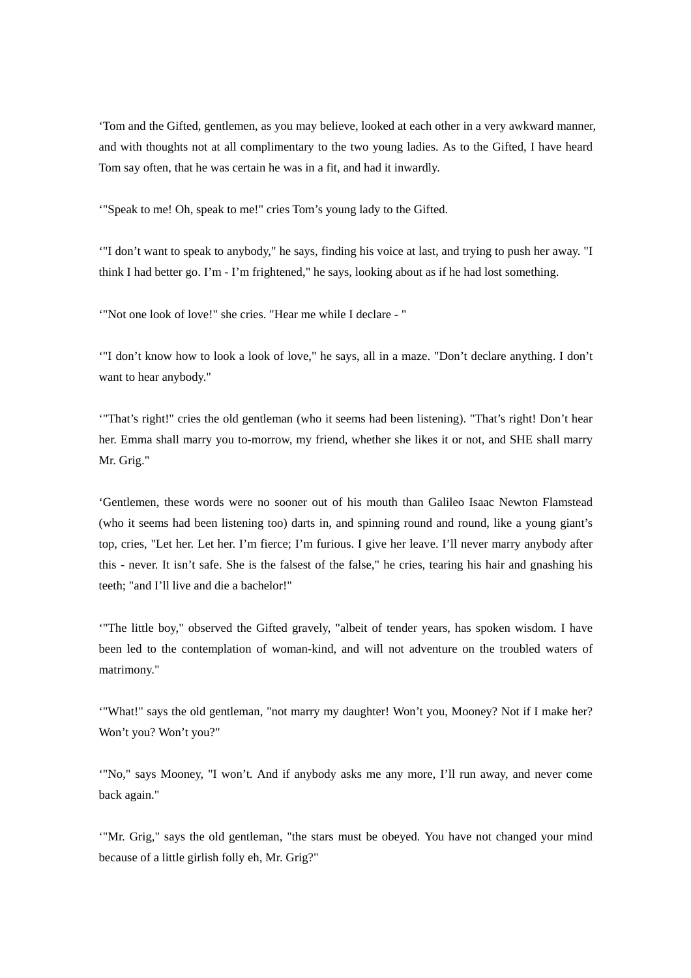'Tom and the Gifted, gentlemen, as you may believe, looked at each other in a very awkward manner, and with thoughts not at all complimentary to the two young ladies. As to the Gifted, I have heard Tom say often, that he was certain he was in a fit, and had it inwardly.

'"Speak to me! Oh, speak to me!" cries Tom's young lady to the Gifted.

'"I don't want to speak to anybody," he says, finding his voice at last, and trying to push her away. "I think I had better go. I'm - I'm frightened," he says, looking about as if he had lost something.

'"Not one look of love!" she cries. "Hear me while I declare - "

'"I don't know how to look a look of love," he says, all in a maze. "Don't declare anything. I don't want to hear anybody."

'"That's right!" cries the old gentleman (who it seems had been listening). "That's right! Don't hear her. Emma shall marry you to-morrow, my friend, whether she likes it or not, and SHE shall marry Mr. Grig."

'Gentlemen, these words were no sooner out of his mouth than Galileo Isaac Newton Flamstead (who it seems had been listening too) darts in, and spinning round and round, like a young giant's top, cries, "Let her. Let her. I'm fierce; I'm furious. I give her leave. I'll never marry anybody after this - never. It isn't safe. She is the falsest of the false," he cries, tearing his hair and gnashing his teeth; "and I'll live and die a bachelor!"

'"The little boy," observed the Gifted gravely, "albeit of tender years, has spoken wisdom. I have been led to the contemplation of woman-kind, and will not adventure on the troubled waters of matrimony."

'"What!" says the old gentleman, "not marry my daughter! Won't you, Mooney? Not if I make her? Won't you? Won't you?"

'"No," says Mooney, "I won't. And if anybody asks me any more, I'll run away, and never come back again."

'"Mr. Grig," says the old gentleman, "the stars must be obeyed. You have not changed your mind because of a little girlish folly eh, Mr. Grig?"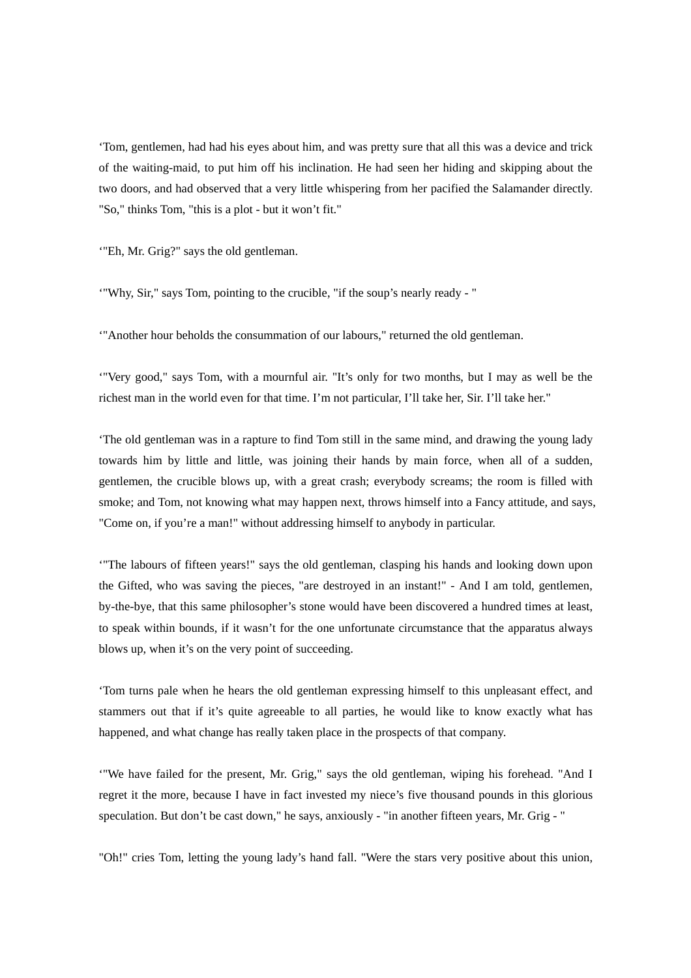'Tom, gentlemen, had had his eyes about him, and was pretty sure that all this was a device and trick of the waiting-maid, to put him off his inclination. He had seen her hiding and skipping about the two doors, and had observed that a very little whispering from her pacified the Salamander directly. "So," thinks Tom, "this is a plot - but it won't fit."

'"Eh, Mr. Grig?" says the old gentleman.

'"Why, Sir," says Tom, pointing to the crucible, "if the soup's nearly ready - "

'"Another hour beholds the consummation of our labours," returned the old gentleman.

'"Very good," says Tom, with a mournful air. "It's only for two months, but I may as well be the richest man in the world even for that time. I'm not particular, I'll take her, Sir. I'll take her."

'The old gentleman was in a rapture to find Tom still in the same mind, and drawing the young lady towards him by little and little, was joining their hands by main force, when all of a sudden, gentlemen, the crucible blows up, with a great crash; everybody screams; the room is filled with smoke; and Tom, not knowing what may happen next, throws himself into a Fancy attitude, and says, "Come on, if you're a man!" without addressing himself to anybody in particular.

'"The labours of fifteen years!" says the old gentleman, clasping his hands and looking down upon the Gifted, who was saving the pieces, "are destroyed in an instant!" - And I am told, gentlemen, by-the-bye, that this same philosopher's stone would have been discovered a hundred times at least, to speak within bounds, if it wasn't for the one unfortunate circumstance that the apparatus always blows up, when it's on the very point of succeeding.

'Tom turns pale when he hears the old gentleman expressing himself to this unpleasant effect, and stammers out that if it's quite agreeable to all parties, he would like to know exactly what has happened, and what change has really taken place in the prospects of that company.

'"We have failed for the present, Mr. Grig," says the old gentleman, wiping his forehead. "And I regret it the more, because I have in fact invested my niece's five thousand pounds in this glorious speculation. But don't be cast down," he says, anxiously - "in another fifteen years, Mr. Grig - "

"Oh!" cries Tom, letting the young lady's hand fall. "Were the stars very positive about this union,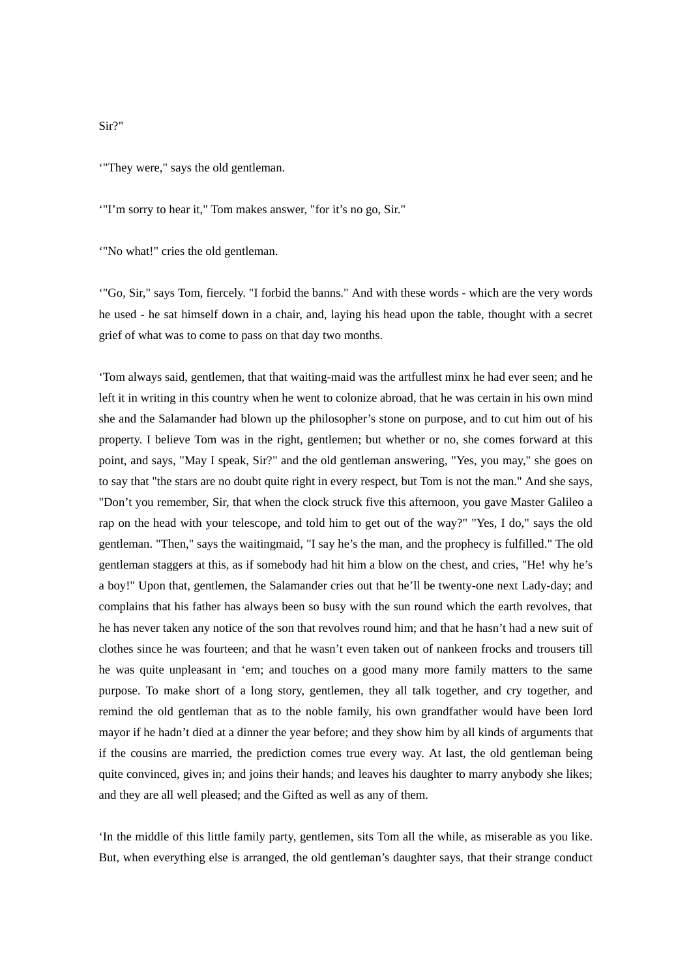## '"They were," says the old gentleman.

'"I'm sorry to hear it," Tom makes answer, "for it's no go, Sir."

'"No what!" cries the old gentleman.

'"Go, Sir," says Tom, fiercely. "I forbid the banns." And with these words - which are the very words he used - he sat himself down in a chair, and, laying his head upon the table, thought with a secret grief of what was to come to pass on that day two months.

'Tom always said, gentlemen, that that waiting-maid was the artfullest minx he had ever seen; and he left it in writing in this country when he went to colonize abroad, that he was certain in his own mind she and the Salamander had blown up the philosopher's stone on purpose, and to cut him out of his property. I believe Tom was in the right, gentlemen; but whether or no, she comes forward at this point, and says, "May I speak, Sir?" and the old gentleman answering, "Yes, you may," she goes on to say that "the stars are no doubt quite right in every respect, but Tom is not the man." And she says, "Don't you remember, Sir, that when the clock struck five this afternoon, you gave Master Galileo a rap on the head with your telescope, and told him to get out of the way?" "Yes, I do," says the old gentleman. "Then," says the waitingmaid, "I say he's the man, and the prophecy is fulfilled." The old gentleman staggers at this, as if somebody had hit him a blow on the chest, and cries, "He! why he's a boy!" Upon that, gentlemen, the Salamander cries out that he'll be twenty-one next Lady-day; and complains that his father has always been so busy with the sun round which the earth revolves, that he has never taken any notice of the son that revolves round him; and that he hasn't had a new suit of clothes since he was fourteen; and that he wasn't even taken out of nankeen frocks and trousers till he was quite unpleasant in 'em; and touches on a good many more family matters to the same purpose. To make short of a long story, gentlemen, they all talk together, and cry together, and remind the old gentleman that as to the noble family, his own grandfather would have been lord mayor if he hadn't died at a dinner the year before; and they show him by all kinds of arguments that if the cousins are married, the prediction comes true every way. At last, the old gentleman being quite convinced, gives in; and joins their hands; and leaves his daughter to marry anybody she likes; and they are all well pleased; and the Gifted as well as any of them.

'In the middle of this little family party, gentlemen, sits Tom all the while, as miserable as you like. But, when everything else is arranged, the old gentleman's daughter says, that their strange conduct

Sir?"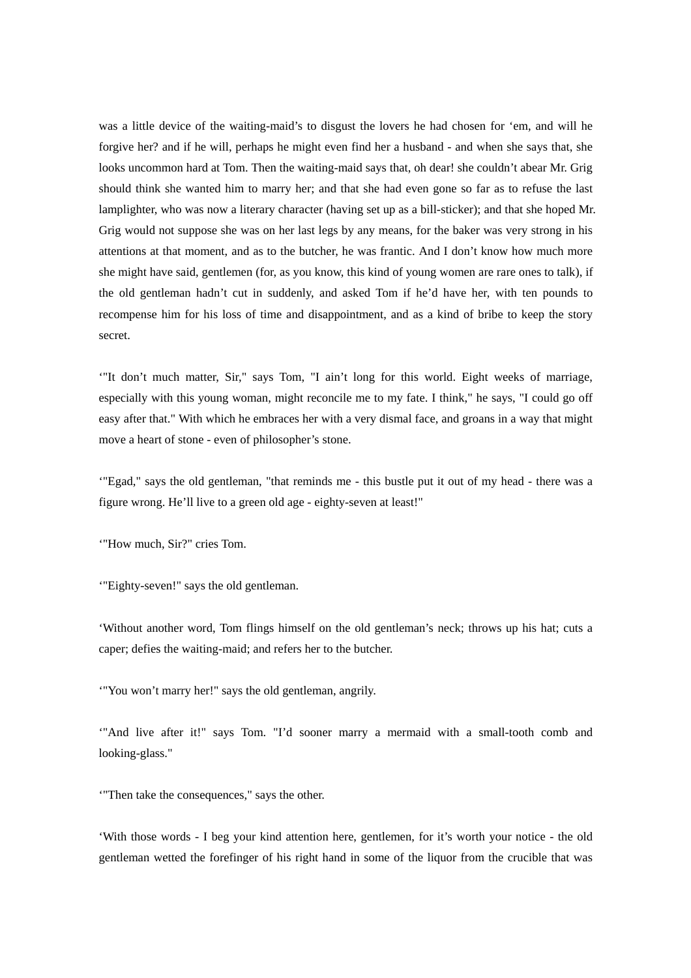was a little device of the waiting-maid's to disgust the lovers he had chosen for 'em, and will he forgive her? and if he will, perhaps he might even find her a husband - and when she says that, she looks uncommon hard at Tom. Then the waiting-maid says that, oh dear! she couldn't abear Mr. Grig should think she wanted him to marry her; and that she had even gone so far as to refuse the last lamplighter, who was now a literary character (having set up as a bill-sticker); and that she hoped Mr. Grig would not suppose she was on her last legs by any means, for the baker was very strong in his attentions at that moment, and as to the butcher, he was frantic. And I don't know how much more she might have said, gentlemen (for, as you know, this kind of young women are rare ones to talk), if the old gentleman hadn't cut in suddenly, and asked Tom if he'd have her, with ten pounds to recompense him for his loss of time and disappointment, and as a kind of bribe to keep the story secret.

'"It don't much matter, Sir," says Tom, "I ain't long for this world. Eight weeks of marriage, especially with this young woman, might reconcile me to my fate. I think," he says, "I could go off easy after that." With which he embraces her with a very dismal face, and groans in a way that might move a heart of stone - even of philosopher's stone.

'"Egad," says the old gentleman, "that reminds me - this bustle put it out of my head - there was a figure wrong. He'll live to a green old age - eighty-seven at least!"

'"How much, Sir?" cries Tom.

'"Eighty-seven!" says the old gentleman.

'Without another word, Tom flings himself on the old gentleman's neck; throws up his hat; cuts a caper; defies the waiting-maid; and refers her to the butcher.

'"You won't marry her!" says the old gentleman, angrily.

'"And live after it!" says Tom. "I'd sooner marry a mermaid with a small-tooth comb and looking-glass."

'"Then take the consequences," says the other.

'With those words - I beg your kind attention here, gentlemen, for it's worth your notice - the old gentleman wetted the forefinger of his right hand in some of the liquor from the crucible that was